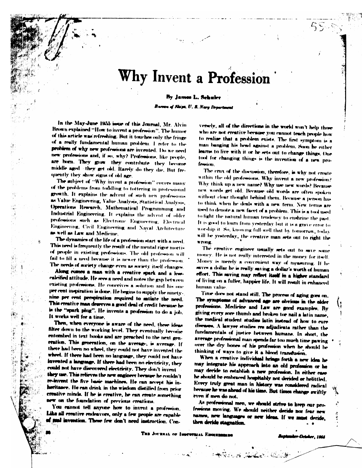## Why Invent a Profession

#### By James L. Schuler

Bureau of Ships, U. S. Nary Department

In the May-June 1955 issue of this Journal, Mr. Alvin Brown explained "How to invent a profession". The humor of this article was refreshing. But it touches only the fringe of a really fundamental human problem. I refer to the problem of why new professions are invented. Do we need new professions and, if so, why? Professions, like people, are horn. They grow they contribute they become middle aged they get old. Rarely do they die. But frequently they show signs of old age.

The subject of "Why invent a profession" covers many of the problems from toddling to tottering in professional growth. It explains the advent of such new professions as Value Engineering, Value Analysis, Statistical Analysis, Operations Research, Mathematical Programming and Industrial Engineering. It explains the advent of older professions such as Electronic Engineering. Electrical Engineering, Civil Engineering and Naval Architecture as well as Law and Medicine.

The dynamics of the life of a profession start with a need. This need is frequently the result of the mental rigor mortis of prople in existing professions. The old profession will fail to fill a need because it is newer than the profession. The needs of society change even as society itself changes.

Aking comes a man with a creative spark and a kwacalcified attitude. He sees a need and notes the gap between existing professions. He concrives a solution and his one per cent inspiration is done. He begins to supply the ninetynine per cent perspiration required to satiate the need. This creative man deserves a good deal of credit because he is the "spark plug". He invents a profession to do a job. It works well for a time.

Then, when everyone is aware of the need, these ideas filter down to the working level. They eventually become entombed in text hooks and are preached to the next generation. This generation, on the average, is average. If there had been no wheel, they could not have invented the wheel. If there had been no language, they could not have invented a language. If there had been no electricity, they could not have discovered electricity. They don't invent they use. This relieves the new engineer because he couldn't re-invent the five basic machines. He can accept his inheritance. He can drink in the wisdom distilled from prior creative minds. If he is creative, he can create something new on the foundation of previous creations.

You cannot tell anyone how to invent a profession. Like all creative endeavors, only a few people are capable of seal invention. These few don't need instruction. Con-

versely, all of the directions in the world won't help those who are not creative because you cannot teach people how to realize that a problem exists. The first symptom is a man banging his head against a problem. Soon he either learns to live with it or he sets out to change things. One tool for changing things is the invention of a new profemiun.

The crux of the discussion, therefore, is why not create within the old professions. Why invent a new profession? Why think up a new name? Why use new words? Because new words get old. Because old words are often spaken without clear thought behind them. Because a person has to think when he deals with a new ferm. New terms are used to denote a new facet of a problem. This is a tool used to fight the natural human tendency to enshrine the past. It is good to learn from yesterday but it is a grave error to worship it. So, knowing full-well that by tomorrow, today will be yesterday, the creative man sets out to right the WINNIE.

The creative engineer usually sets out to save some money. He is not really interested in the money for itself. Money is merely a convenient way of measuring. If he saves a dollar he is really saving a dollar's worth of human effort. This saving may reflect itself in a higher standard of living on a fuller, happier life. It will result in enhanced human value

Time does not stand still. The process of aging goes on. The symptoms of advanced age are obvious in the older professions. Medicine and Law are good examples. By giving every sore thumb and broken toe nail a latin name, the medical student studies latin instead of how to cure discussed. A lawyer studies rea adjudicate rather than the fundamentals of justice between humans. In short, the average professional man spends far too much time pawing . over the dry bones of his profession when he should be thinking of ways to give it a blood transfusion.

When a creative individual brings forth a new idea he may integrate his approach into an old profession or he may decide to establish a new profession. In either case he should be embraced hospitably not derided or belittled. Every truly great man in history was considered radical because he was ahead of his time. But times change swiftly even if men do not.

As professional men, we should strive to keep our profewions moving. We should neither deride nor fear new names, new languages or new ideas. If we must deride, then deride stagnation.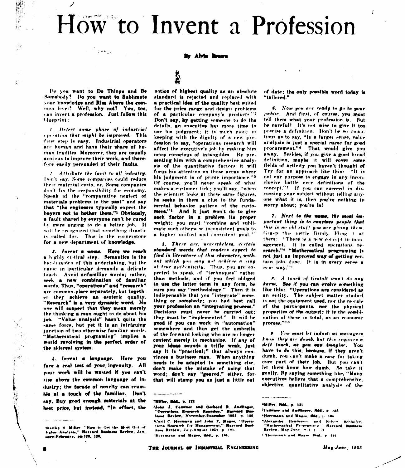# How to Invent a Profession

By Alvin Brown

Do you want to Do Things and Be Somebody? Do you want to Sublimate your knowledge and Rise Above the common level? Well, why not? You, too, can invent a profession. Just follow this bluenrint:

1999. jul

 $\mathcal{S}^{\prime}$ 

1. Detect some phase of industrial contrion that might be improved. This first step is easy. Industrial operators are human and have their share of human frailties. Moreover, they are usually anxious to improve their work, and therefore easily persuaded of their faults.

2. Attribute the fault to all industry. Don't say, Some companies could reduce their material costs, or, Some companies don't fix the responsibility for economy. Sneak of the "comparative neglect of materials problems in the past" and say that "the engineers typically expect the buyers not to bother them."<sup>1</sup> Obviously, a fault shared by everyone can't be cured by mere urging to do a better job. It will be recognized that something drastic is called for. This is the cornerstone for a new department of knowledge.

3. Invent a name. Here we reach a highly critical step. Semanties is the bandmaiden of this undertaking, but the name in particular demands a delicate touch. Avoid unfamiliar words; rather, seek a new combination of familiar words. Thus, "operations" and "research" are common-place separately, but together they achieve an esoteric quality. "Research" is a very dynamic word. No one will suspect that they mean merely the thinking a man ought to do about his job. "Value analysis" hasn't quite the same force, but yet it is an intriguing junction of two otherwise familiar words. "Mathematical programing" implies a world revolving in the perfect order of the sidereal system.

4. Invent a language. Here you face a real test of your ingenuity. All your work will be wasted if you can't rise above the common language of industry; the facade of novelty can crumble at a touch of the familiar. Don't say. Buy good enough materials at the heat price, but instead, "In effect, the

### i.<br>A

notion of highest quality as an absolute standard is rejected and replaced with a practical idea of the quality hest suited for the price range and design problems of a particular company's products."<sup>2</sup> Don't say, by getting someone to do the details, an executive has more time to use his judgment; it is much more in keeping with the dignity of a new profession to say, "operations research will affect the executive's job by making him more conscious of intangibles. By presenting him with a comprehensive analysis of the quantitative factors it will focus his attention on those areas where his judgment is of prime importance."3 Of course, you'll never speak of what makes a customer tick; you'll say, "when the scientist looks at these same figures, he seeks in them a clue to the fundamental behavior pattern of the customers."<sup>4</sup> And it just won't do to give each factor in a problem its proper weight: you must "combine and sublimate such otherwise inconsistent goals to a higher unified and consistent goal."5

5. There are, nevertheless, certain standard words that readers expect to find in literature of this character, without which you may not achieve a ring of true authenticity. Thus, you are expected to speak of "techniques" rather than methods, and if you feel obliged to use the latter term in any form, be sure you say "methodology." Then it is indispensable that you "integrate" something or somehody; you had best call your profession an "integrating process." Decisions must never he carried out: they must be "implemented." It will be good if you can work in "automation" somewhere and thus get the umbrella of the forward-looking who are no longer content merely to mechanize. If any of your ideas sounds a trifle weak, just say it is "practical;" that always convinces a business man. When anything needs to be adapted to something else. don't make the mistake of using that<br>word; don't say "geared," either, for that will stamp you as just a little out

#### **THiller, Ibld., p. 122**

3John J. Caminer and Gerhard R. Andlinger,<br>"Operations Research Roundyn," Harvard Business Review, November-December 1954, p. 196. ""Yril C. Hermann and John F. Mages. 'Operations Research for Management," Harvard Business Review, July-August 1951, p. 101. Herrmann and Mages, ibid., p. 106.

of date: the only possible word today is "tailored."

6. Now you are ready to go to your unblic. And first, of course, you must tell them what your profession is. But he careful! It's not wise to give it too precise a definition. Don't be so incautious as to say, "In a larger sense, value analysis is just a special name for good procurement."\* That would give you away. Besides, if you give a good broad definition, maybe it will cover some fields of activity you haven't thought of Try for an approach like this: "It is not our purpose to engage in any inconclusive battle over definitions of the concept."7 If you can succeed in discussing your subject without telling anyone what it is, then you've nothing to worry about; you're in!

7. Next to the name, the most important thing is to convince people that this is no old stuff you are giving them. Grasp this nettle firmly. Flong it at them: "There is a new concent in management. It is called operations research."<sup>8</sup> "Mathematical programing is not just an improved way of getting certain jobs done. It is in every sense a HERT WAY.""

8. A touch of Gestalt won't do any harm. See if you can evolve something like this: "Operations are considered as an entity. The subject matter studied is not the equipment used, nor the morale of the participants, nor the physical properties of the output: it is the combination of these in total, as an economic Drocess."1"

2. You must let industrial managers know they are domb, but this requires a deft touch, as you can imagine. You have to do this, hecause, if they aren't dumb, you can't make a case for taking over part of their job. But you can't let them know how dumb. So take it gently. By saying something like. "Many executives believe that a comprehensive. objective, quantitative analysis of the

"Miller, Ibid., n. 131 ?Camluer and Andlinger, Ibid., p. 132. "Herrmann and Mager, Ibid., p. 100 "Alexander Henderson and Robert Schlaffer, "Mathematical Programme" Harvard Business.<br>"Nathematical Programme" Harvard Business. 1.Herrmann and Mager 161d., p. 101.

 $\sim$  where the component  $\sim$ 

Stanley H. Miller, "How to Get the Most Out of<br>Value Analysia," Warvard Dociness Review, Jan. uary-February, pp.123, 128,